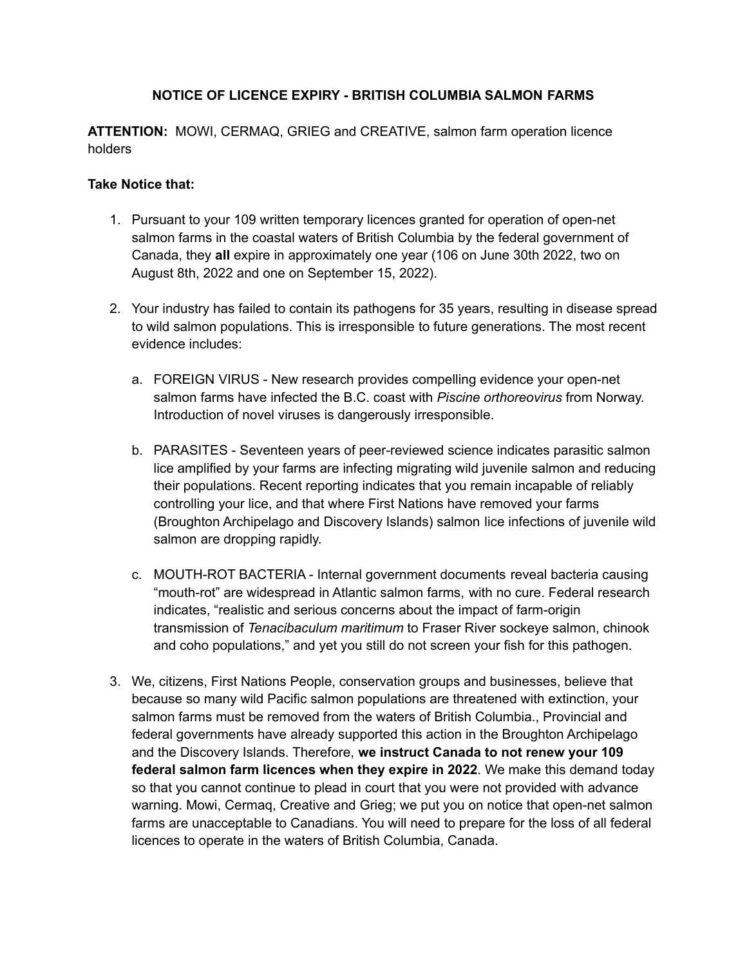## **NOTICE OF LICENCE EXPIRY - BRITISH COLUMBIA SALMON FARMS**

**ATTENTION:** MOWI, CERMAQ, GRIEG and CREATIVE, salmon farm operation licence holders

## **Take Notice that:**

- 1. Pursuant to your 109 written temporary licences granted for operation of open-net salmon farms in the coastal waters of British Columbia by the federal government of Canada, they **all** expire in approximately one year (106 on June 30th 2022, two on August 8th, 2022 and one on September 15, 2022).
- 2. Your industry has failed to contain its pathogens for 35 years, resulting in disease spread to wild salmon populations. This is irresponsible to future generations. The most recent evidence includes:
	- a. FOREIGN VIRUS New research provides compelling evidence your open-net salmon farms have infected the B.C. coast with *Piscine orthoreovirus* from Norway. Introduction of novel viruses is dangerously irresponsible.
	- b. PARASITES Seventeen years of peer-reviewed science indicates parasitic salmon lice amplified by your farms are infecting migrating wild juvenile salmon and reducing their populations. Recent reporting indicates that you remain incapable of reliably controlling your lice, and that where First Nations have removed your farms (Broughton Archipelago and Discovery Islands) salmon lice infections of juvenile wild salmon are dropping rapidly.
	- c. MOUTH-ROT BACTERIA Internal government documents reveal bacteria causing "mouth-rot" are widespread in Atlantic salmon farms, with no cure. Federal research indicates, "realistic and serious concerns about the impact of farm-origin transmission of *Tenacibaculum maritimum* to Fraser River sockeye salmon, chinook and coho populations," and yet you still do not screen your fish for this pathogen.
- 3. We, citizens, First Nations People, conservation groups and businesses, believe that because so many wild Pacific salmon populations are threatened with extinction, your salmon farms must be removed from the waters of British Columbia., Provincial and federal governments have already supported this action in the Broughton Archipelago and the Discovery Islands. Therefore, **we instruct Canada to not renew your 109 federal salmon farm licences when they expire in 2022**. We make this demand today so that you cannot continue to plead in court that you were not provided with advance warning. Mowi, Cermaq, Creative and Grieg; we put you on notice that open-net salmon farms are unacceptable to Canadians. You will need to prepare for the loss of all federal licences to operate in the waters of British Columbia, Canada.